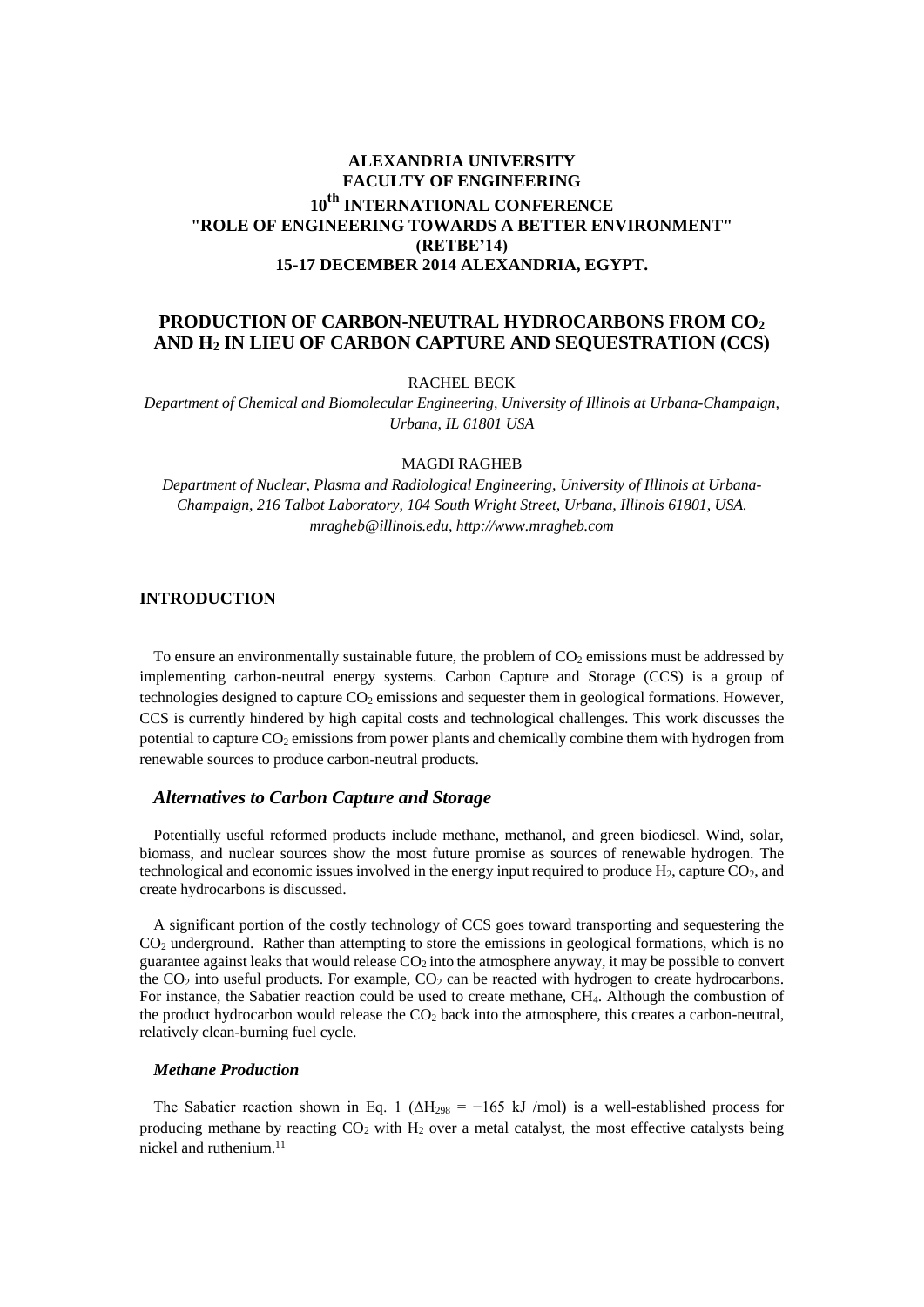# **ALEXANDRIA UNIVERSITY FACULTY OF ENGINEERING 10th INTERNATIONAL CONFERENCE "ROLE OF ENGINEERING TOWARDS A BETTER ENVIRONMENT" (RETBE'14) 15-17 DECEMBER 2014 ALEXANDRIA, EGYPT.**

## **PRODUCTION OF CARBON-NEUTRAL HYDROCARBONS FROM CO<sup>2</sup> AND H<sup>2</sup> IN LIEU OF CARBON CAPTURE AND SEQUESTRATION (CCS)**

RACHEL BECK

*Department of Chemical and Biomolecular Engineering, University of Illinois at Urbana-Champaign, Urbana, IL 61801 USA* 

#### MAGDI RAGHEB

*Department of Nuclear, Plasma and Radiological Engineering, University of Illinois at Urbana-Champaign, 216 Talbot Laboratory, 104 South Wright Street, Urbana, Illinois 61801, USA. mragheb@illinois.edu, http://www.mragheb.com* 

## **INTRODUCTION**

To ensure an environmentally sustainable future, the problem of  $CO<sub>2</sub>$  emissions must be addressed by implementing carbon-neutral energy systems. Carbon Capture and Storage (CCS) is a group of technologies designed to capture  $CO<sub>2</sub>$  emissions and sequester them in geological formations. However, CCS is currently hindered by high capital costs and technological challenges. This work discusses the potential to capture  $CO<sub>2</sub>$  emissions from power plants and chemically combine them with hydrogen from renewable sources to produce carbon-neutral products.

### *Alternatives to Carbon Capture and Storage*

Potentially useful reformed products include methane, methanol, and green biodiesel. Wind, solar, biomass, and nuclear sources show the most future promise as sources of renewable hydrogen. The technological and economic issues involved in the energy input required to produce  $H_2$ , capture  $CO_2$ , and create hydrocarbons is discussed.

A significant portion of the costly technology of CCS goes toward transporting and sequestering the CO2 underground. Rather than attempting to store the emissions in geological formations, which is no guarantee against leaks that would release CO2 into the atmosphere anyway, it may be possible to convert the  $CO<sub>2</sub>$  into useful products. For example,  $CO<sub>2</sub>$  can be reacted with hydrogen to create hydrocarbons. For instance, the Sabatier reaction could be used to create methane, CH4. Although the combustion of the product hydrocarbon would release the  $CO<sub>2</sub>$  back into the atmosphere, this creates a carbon-neutral, relatively clean-burning fuel cycle.

## *Methane Production*

The Sabatier reaction shown in Eq. 1 ( $\Delta H_{298}$  = -165 kJ /mol) is a well-established process for producing methane by reacting  $CO<sub>2</sub>$  with  $H<sub>2</sub>$  over a metal catalyst, the most effective catalysts being nickel and ruthenium.<sup>11</sup>